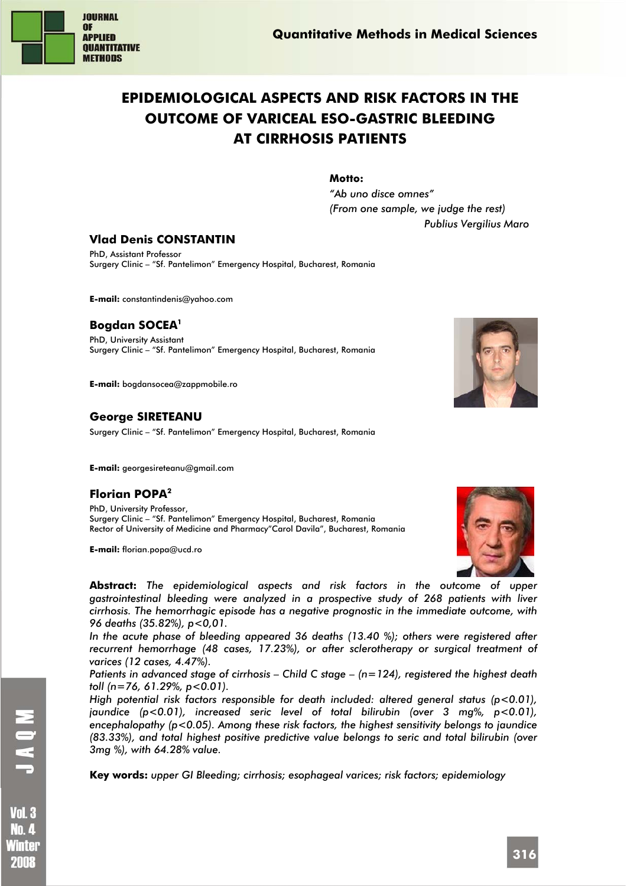

# **EPIDEMIOLOGICAL ASPECTS AND RISK FACTORS IN THE OUTCOME OF VARICEAL ESO-GASTRIC BLEEDING AT CIRRHOSIS PATIENTS**

**Motto:** 

*"Ab uno disce omnes" (From one sample, we judge the rest) Publius Vergilius Maro* 

## **Vlad Denis CONSTANTIN**

PhD, Assistant Professor Surgery Clinic – "Sf. Pantelimon" Emergency Hospital, Bucharest, Romania

**E-mail:** constantindenis@yahoo.com

## **Bogdan SOCEA1**

PhD, University Assistant Surgery Clinic – "Sf. Pantelimon" Emergency Hospital, Bucharest, Romania

**E-mail:** bogdansocea@zappmobile.ro

## **George SIRETEANU**

Surgery Clinic – "Sf. Pantelimon" Emergency Hospital, Bucharest, Romania

**E-mail:** georgesireteanu@gmail.com

## **Florian POPA2**

PhD, University Professor, Surgery Clinic – "Sf. Pantelimon" Emergency Hospital, Bucharest, Romania Rector of University of Medicine and Pharmacy"Carol Davila", Bucharest, Romania

**E-mail:** florian.popa@ucd.ro



**Abstract:** *The epidemiological aspects and risk factors in the outcome of upper gastrointestinal bleeding were analyzed in a prospective study of 268 patients with liver cirrhosis. The hemorrhagic episode has a negative prognostic in the immediate outcome, with 96 deaths (35.82%), p<0,01.* 

*In the acute phase of bleeding appeared 36 deaths (13.40 %); others were registered after recurrent hemorrhage (48 cases, 17.23%), or after sclerotherapy or surgical treatment of varices (12 cases, 4.47%).* 

*Patients in advanced stage of cirrhosis – Child C stage – (n=124), registered the highest death toll (n=76, 61.29%, p<0.01).* 

*High potential risk factors responsible for death included: altered general status (p<0.01), jaundice (p<0.01), increased seric level of total bilirubin (over 3 mg%, p<0.01), encephalopathy (p<0.05). Among these risk factors, the highest sensitivity belongs to jaundice (83.33%), and total highest positive predictive value belongs to seric and total bilirubin (over 3mg %), with 64.28% value.* 

**Key words:** *upper GI Bleeding; cirrhosis; esophageal varices; risk factors; epidemiology* 

**Vol. 3 No. 4** Winter 2008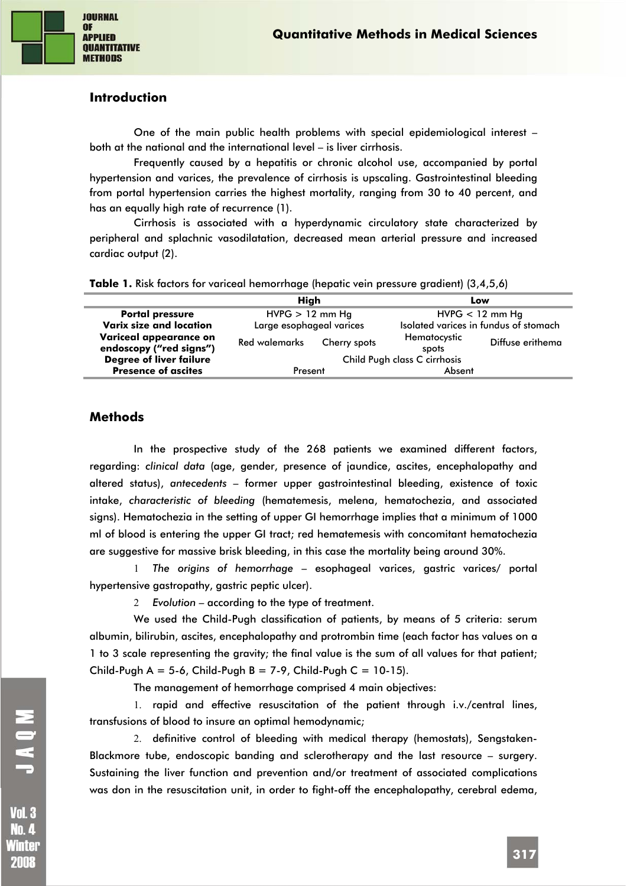

#### **Introduction**

One of the main public health problems with special epidemiological interest – both at the national and the international level – is liver cirrhosis.

Frequently caused by a hepatitis or chronic alcohol use, accompanied by portal hypertension and varices, the prevalence of cirrhosis is upscaling. Gastrointestinal bleeding from portal hypertension carries the highest mortality, ranging from 30 to 40 percent, and has an equally high rate of recurrence (1).

Cirrhosis is associated with a hyperdynamic circulatory state characterized by peripheral and splachnic vasodilatation, decreased mean arterial pressure and increased cardiac output (2).

|  |  | Table 1. Risk factors for variceal hemorrhage (hepatic vein pressure gradient) (3,4,5,6) |  |  |
|--|--|------------------------------------------------------------------------------------------|--|--|
|  |  |                                                                                          |  |  |

|                                | High                     |              | Low                          |                                       |  |
|--------------------------------|--------------------------|--------------|------------------------------|---------------------------------------|--|
| <b>Portal pressure</b>         | $HVPG > 12$ mm Hq        |              | $HVPG < 12$ mm Hq            |                                       |  |
| Varix size and location        | Large esophageal varices |              |                              | Isolated varices in fundus of stomach |  |
| Variceal appearance on         | <b>Red walemarks</b>     | Cherry spots | Hematocystic                 | Diffuse erithema                      |  |
| endoscopy ("red signs")        |                          |              | spots                        |                                       |  |
| <b>Degree of liver failure</b> |                          |              | Child Pugh class C cirrhosis |                                       |  |
| <b>Presence of ascites</b>     | Present                  |              | Absent                       |                                       |  |

#### **Methods**

In the prospective study of the 268 patients we examined different factors, regarding: *clinical data* (age, gender, presence of jaundice, ascites, encephalopathy and altered status), *antecedents* – former upper gastrointestinal bleeding, existence of toxic intake, *characteristic of bleeding* (hematemesis, melena, hematochezia, and associated signs). Hematochezia in the setting of upper GI hemorrhage implies that a minimum of 1000 ml of blood is entering the upper GI tract; red hematemesis with concomitant hematochezia are suggestive for massive brisk bleeding, in this case the mortality being around 30%.

1 *The origins of hemorrhage* – esophageal varices, gastric varices/ portal hypertensive gastropathy, gastric peptic ulcer).

2 *Evolution* – according to the type of treatment.

We used the Child-Pugh classification of patients, by means of 5 criteria: serum albumin, bilirubin, ascites, encephalopathy and protrombin time (each factor has values on a 1 to 3 scale representing the gravity; the final value is the sum of all values for that patient; Child-Pugh A = 5-6, Child-Pugh B = 7-9, Child-Pugh C = 10-15).

The management of hemorrhage comprised 4 main objectives:

1. rapid and effective resuscitation of the patient through i.v./central lines, transfusions of blood to insure an optimal hemodynamic;

2. definitive control of bleeding with medical therapy (hemostats), Sengstaken-Blackmore tube, endoscopic banding and sclerotherapy and the last resource – surgery. Sustaining the liver function and prevention and/or treatment of associated complications was don in the resuscitation unit, in order to fight-off the encephalopathy, cerebral edema,

**No.4** Winter 2008

**317**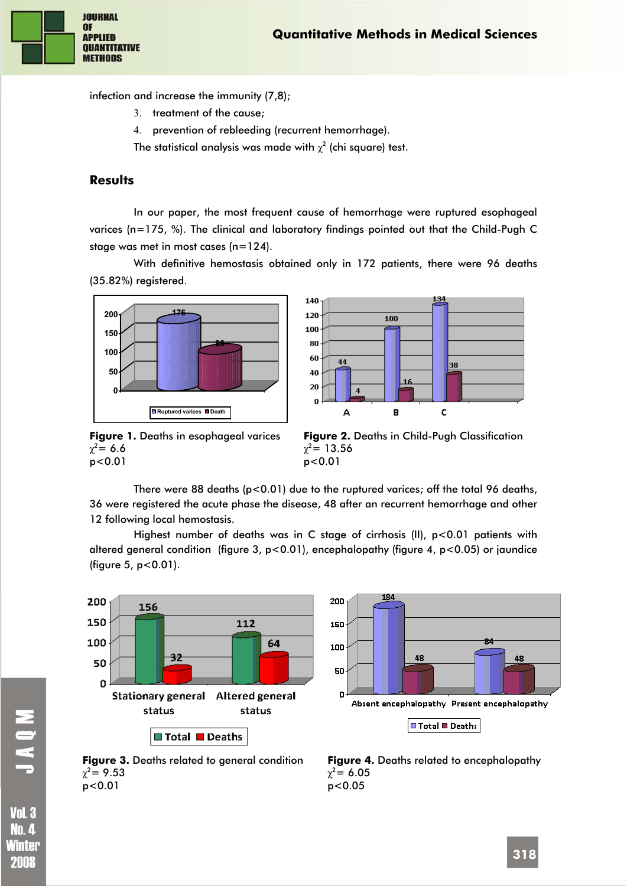

infection and increase the immunity (7,8);

- 3. treatment of the cause;
- 4. prevention of rebleeding (recurrent hemorrhage).

The statistical analysis was made with  $\chi^2$  (chi square) test.

## **Results**

In our paper, the most frequent cause of hemorrhage were ruptured esophageal varices (n=175, %). The clinical and laboratory findings pointed out that the Child-Pugh C stage was met in most cases (n=124).

With definitive hemostasis obtained only in 172 patients, there were 96 deaths (35.82%) registered.





**Figure 1.** Deaths in esophageal varices  $\chi^2$  = 6.6 p<0.01



There were 88 deaths  $(p<0.01)$  due to the ruptured varices; off the total 96 deaths, 36 were registered the acute phase the disease, 48 after an recurrent hemorrhage and other 12 following local hemostasis.

Highest number of deaths was in C stage of cirrhosis (II), p<0.01 patients with altered general condition (figure 3, p<0.01), encephalopathy (figure 4, p<0.05) or jaundice (figure 5, p<0.01).





**Figure 3.** Deaths related to general condition  $\chi^2$  = 9.53 p<0.01

**NONT** 

**Vol. 3 No. 4** Winter 2008

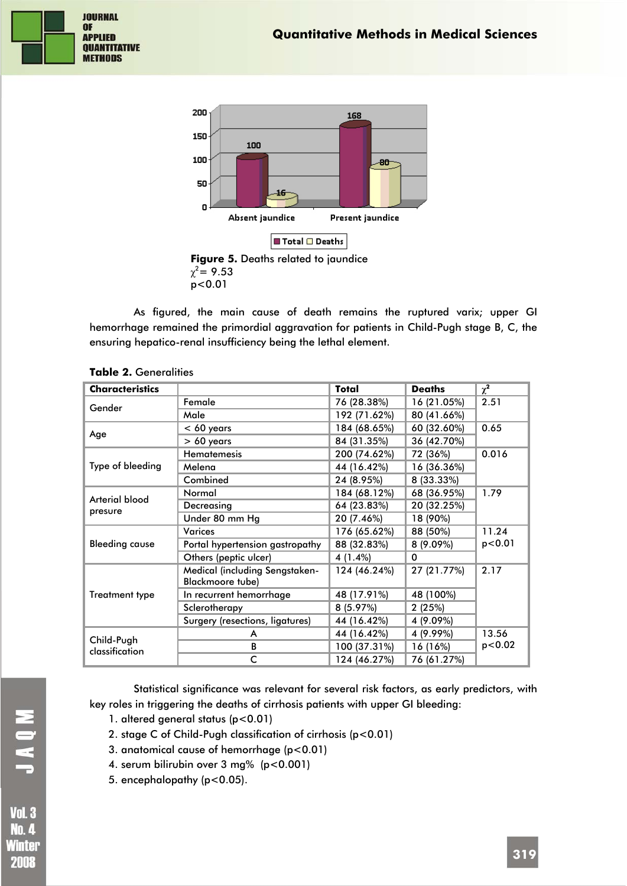



As figured, the main cause of death remains the ruptured varix; upper GI hemorrhage remained the primordial aggravation for patients in Child-Pugh stage B, C, the ensuring hepatico-renal insufficiency being the lethal element.

| <b>Characteristics</b> |                                                    | Total        | <b>Deaths</b> | $\chi^2$ |
|------------------------|----------------------------------------------------|--------------|---------------|----------|
| Gender                 | Female                                             | 76 (28.38%)  | 16 (21.05%)   | 2.51     |
|                        | Male                                               | 192 (71.62%) | 80 (41.66%)   |          |
| Age                    | $< 60$ years                                       | 184 (68.65%) | 60 (32.60%)   | 0.65     |
|                        | $> 60$ years                                       | 84 (31.35%)  | 36 (42.70%)   |          |
|                        | <b>Hematemesis</b>                                 | 200 (74.62%) | 72 (36%)      | 0.016    |
| Type of bleeding       | Melena                                             | 44 (16.42%)  | 16 (36.36%)   |          |
|                        | Combined                                           | 24 (8.95%)   | 8 (33.33%)    |          |
| Arterial blood         | Normal                                             | 184 (68.12%) | 68 (36.95%)   | 1.79     |
| presure                | Decreasing                                         | 64 (23.83%)  | 20 (32.25%)   |          |
|                        | Under 80 mm Hg                                     | 20 (7.46%)   | 18 (90%)      |          |
|                        | <b>Varices</b>                                     | 176 (65.62%) | 88 (50%)      | 11.24    |
| <b>Bleeding cause</b>  | Portal hypertension gastropathy                    | 88 (32.83%)  | 8 (9.09%)     | p < 0.01 |
|                        | Others (peptic ulcer)                              | 4 (1.4%)     | $\Omega$      |          |
|                        | Medical (including Sengstaken-<br>Blackmoore tube) | 124 (46.24%) | 27 (21.77%)   | 2.17     |
| <b>Treatment type</b>  | In recurrent hemorrhage                            | 48 (17.91%)  | 48 (100%)     |          |
|                        | Sclerotherapy                                      | 8(5.97%)     | 2(25%)        |          |
|                        | Surgery (resections, ligatures)                    | 44 (16.42%)  | 4 (9.09%)     |          |
| Child-Pugh             | A                                                  | 44 (16.42%)  | 4 (9.99%)     | 13.56    |
| classification         | В                                                  | 100 (37.31%) | 16 (16%)      | p < 0.02 |
|                        | c                                                  | 124 (46.27%) | 76 (61.27%)   |          |

#### **Table 2.** Generalities

Statistical significance was relevant for several risk factors, as early predictors, with key roles in triggering the deaths of cirrhosis patients with upper GI bleeding:

- 1. altered general status (p<0.01)
- 2. stage C of Child-Pugh classification of cirrhosis (p<0.01)
- 3. anatomical cause of hemorrhage (p<0.01)
- 4. serum bilirubin over 3 mg% (p<0.001)
- 5. encephalopathy (p<0.05).

**Vol. 3 No. 4** Winter 2008

NOVI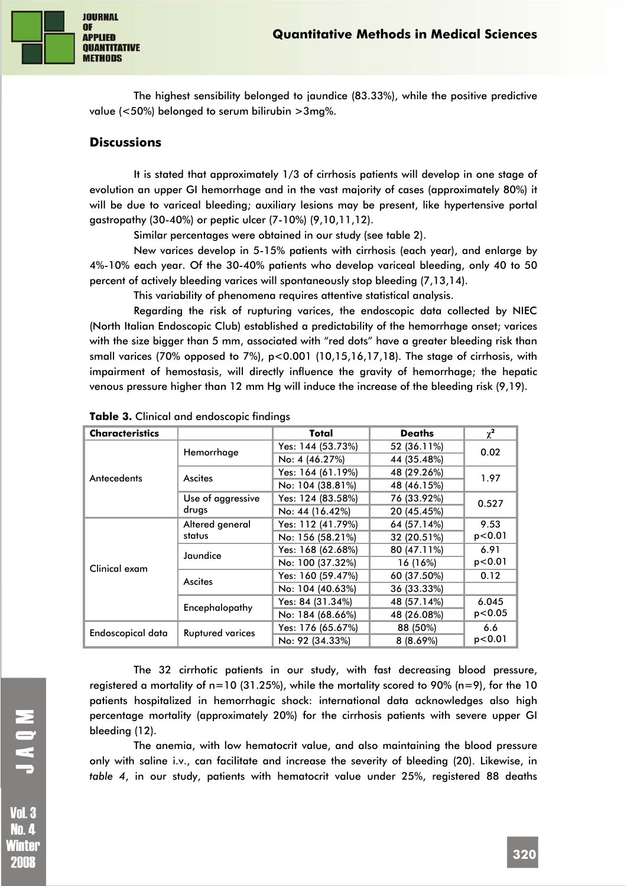

The highest sensibility belonged to jaundice (83.33%), while the positive predictive value (<50%) belonged to serum bilirubin >3mg%.

#### **Discussions**

It is stated that approximately 1/3 of cirrhosis patients will develop in one stage of evolution an upper GI hemorrhage and in the vast majority of cases (approximately 80%) it will be due to variceal bleeding; auxiliary lesions may be present, like hypertensive portal gastropathy (30-40%) or peptic ulcer (7-10%) (9,10,11,12).

Similar percentages were obtained in our study (see table 2).

New varices develop in 5-15% patients with cirrhosis (each year), and enlarge by 4%-10% each year. Of the 30-40% patients who develop variceal bleeding, only 40 to 50 percent of actively bleeding varices will spontaneously stop bleeding (7,13,14).

This variability of phenomena requires attentive statistical analysis.

Regarding the risk of rupturing varices, the endoscopic data collected by NIEC (North Italian Endoscopic Club) established a predictability of the hemorrhage onset; varices with the size bigger than 5 mm, associated with "red dots" have a greater bleeding risk than small varices (70% opposed to 7%), p<0.001 (10,15,16,17,18). The stage of cirrhosis, with impairment of hemostasis, will directly influence the gravity of hemorrhage; the hepatic venous pressure higher than 12 mm Hg will induce the increase of the bleeding risk (9,19).

| <b>Characteristics</b> |                         | Total             | <b>Deaths</b> | $\chi^2$ |  |
|------------------------|-------------------------|-------------------|---------------|----------|--|
|                        | Hemorrhage              | Yes: 144 (53.73%) | 52 (36.11%)   | 0.02     |  |
|                        |                         | No: 4 (46.27%)    | 44 (35.48%)   |          |  |
| Antecedents            | Ascites                 | Yes: 164 (61.19%) | 48 (29.26%)   | 1.97     |  |
|                        |                         | No: 104 (38.81%)  | 48 (46.15%)   |          |  |
|                        | Use of aggressive       | Yes: 124 (83.58%) | 76 (33.92%)   | 0.527    |  |
|                        | drugs                   | No: 44 (16.42%)   | 20 (45.45%)   |          |  |
|                        | Altered general         | Yes: 112 (41.79%) | 64 (57.14%)   | 9.53     |  |
|                        | status                  | No: 156 (58.21%)  | 32 (20.51%)   | p < 0.01 |  |
|                        | Jaundice                | Yes: 168 (62.68%) | 80 (47.11%)   | 6.91     |  |
| Clinical exam          |                         | No: 100 (37.32%)  | 16 (16%)      | p < 0.01 |  |
|                        | Ascites                 | Yes: 160 (59.47%) | 60 (37.50%)   | 0.12     |  |
|                        |                         | No: 104 (40.63%)  | 36 (33.33%)   |          |  |
|                        | Encephalopathy          | Yes: 84 (31.34%)  | 48 (57.14%)   | 6.045    |  |
|                        |                         | No: 184 (68.66%)  | 48 (26.08%)   | p < 0.05 |  |
| Endoscopical data      | <b>Ruptured varices</b> | Yes: 176 (65.67%) | 88 (50%)      | 6.6      |  |
|                        |                         | No: 92 (34.33%)   | 8(8.69%)      | p < 0.01 |  |

**Table 3.** Clinical and endoscopic findings

The 32 cirrhotic patients in our study, with fast decreasing blood pressure, registered a mortality of  $n=10$  (31.25%), while the mortality scored to 90% ( $n=9$ ), for the 10 patients hospitalized in hemorrhagic shock: international data acknowledges also high percentage mortality (approximately 20%) for the cirrhosis patients with severe upper GI bleeding (12).

The anemia, with low hematocrit value, and also maintaining the blood pressure only with saline i.v., can facilitate and increase the severity of bleeding (20). Likewise, in *table 4*, in our study, patients with hematocrit value under 25%, registered 88 deaths

**No.4** Winter 2008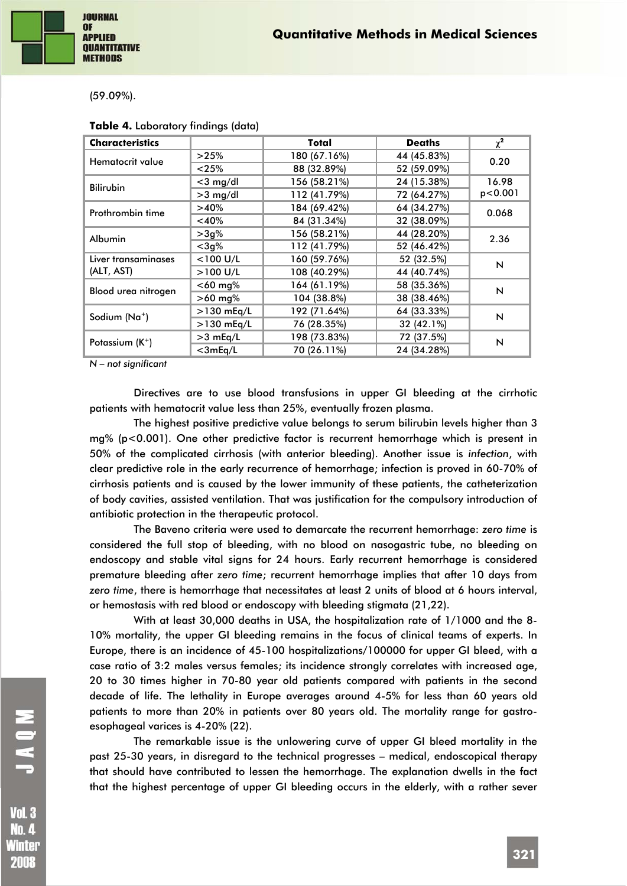(59.09%).

| <b>Characteristics</b>    |                      | Total                      | <b>Deaths</b> | $\chi^2$       |  |
|---------------------------|----------------------|----------------------------|---------------|----------------|--|
| Hematocrit value          | >25%                 | 180 (67.16%)               | 44 (45.83%)   | 0.20           |  |
|                           | 88 (32.89%)<br>< 25% |                            | 52 (59.09%)   |                |  |
| <b>Bilirubin</b>          | $<$ 3 mg/dl          | 156 (58.21%)               | 24 (15.38%)   | 16.98          |  |
|                           | $>3$ mg/dl           | 112 (41.79%)               | 72 (64.27%)   | p < 0.001      |  |
| Prothrombin time          | >40%                 | 184 (69.42%)               | 64 (34.27%)   | 0.068          |  |
|                           | $<$ 40%              | 84 (31.34%)                | 32 (38.09%)   |                |  |
| <b>Albumin</b>            | $>3g\%$              | 156 (58.21%)               | 44 (28.20%)   | 2.36           |  |
|                           | $<$ 3g%              | 112 (41.79%)               | 52 (46.42%)   |                |  |
| Liver transaminases       | $<$ 100 U/L          | 160 (59.76%)               | 52 (32.5%)    | $\mathsf{N}$   |  |
| (ALT, AST)                | $>100$ U/L           | 108 (40.29%)               | 44 (40.74%)   |                |  |
| Blood urea nitrogen       | $<$ 60 mg%           | 164 (61.19%)               | 58 (35.36%)   | $\overline{N}$ |  |
|                           | $>60$ mg%            | 104 (38.8%)<br>38 (38.46%) |               |                |  |
| Sodium (Na <sup>+</sup> ) | $>130$ mEq/L         | 192 (71.64%)               | 64 (33.33%)   | N              |  |
|                           | $>130$ mEq/L         | 76 (28.35%)                | 32 (42.1%)    |                |  |
| Potassium $(K^+)$         | $>3$ mEq/L           | 198 (73.83%)               | 72 (37.5%)    | N              |  |
|                           | $<$ 3mEq/L           | 70 (26.11%)                | 24 (34.28%)   |                |  |

#### **Table 4.** Laboratory findings (data)

*N – not significant* 

Directives are to use blood transfusions in upper GI bleeding at the cirrhotic patients with hematocrit value less than 25%, eventually frozen plasma.

The highest positive predictive value belongs to serum bilirubin levels higher than 3 mg% (p<0.001). One other predictive factor is recurrent hemorrhage which is present in 50% of the complicated cirrhosis (with anterior bleeding). Another issue is *infection*, with clear predictive role in the early recurrence of hemorrhage; infection is proved in 60-70% of cirrhosis patients and is caused by the lower immunity of these patients, the catheterization of body cavities, assisted ventilation. That was justification for the compulsory introduction of antibiotic protection in the therapeutic protocol.

The Baveno criteria were used to demarcate the recurrent hemorrhage: *zero time* is considered the full stop of bleeding, with no blood on nasogastric tube, no bleeding on endoscopy and stable vital signs for 24 hours. Early recurrent hemorrhage is considered premature bleeding after *zero time*; recurrent hemorrhage implies that after 10 days from *zero time*, there is hemorrhage that necessitates at least 2 units of blood at 6 hours interval, or hemostasis with red blood or endoscopy with bleeding stigmata (21,22).

With at least 30,000 deaths in USA, the hospitalization rate of 1/1000 and the 8- 10% mortality, the upper GI bleeding remains in the focus of clinical teams of experts. In Europe, there is an incidence of 45-100 hospitalizations/100000 for upper GI bleed, with a case ratio of 3:2 males versus females; its incidence strongly correlates with increased age, 20 to 30 times higher in 70-80 year old patients compared with patients in the second decade of life. The lethality in Europe averages around 4-5% for less than 60 years old patients to more than 20% in patients over 80 years old. The mortality range for gastroesophageal varices is 4-20% (22).

The remarkable issue is the unlowering curve of upper GI bleed mortality in the past 25-30 years, in disregard to the technical progresses – medical, endoscopical therapy that should have contributed to lessen the hemorrhage. The explanation dwells in the fact that the highest percentage of upper GI bleeding occurs in the elderly, with a rather sever

Winter 2008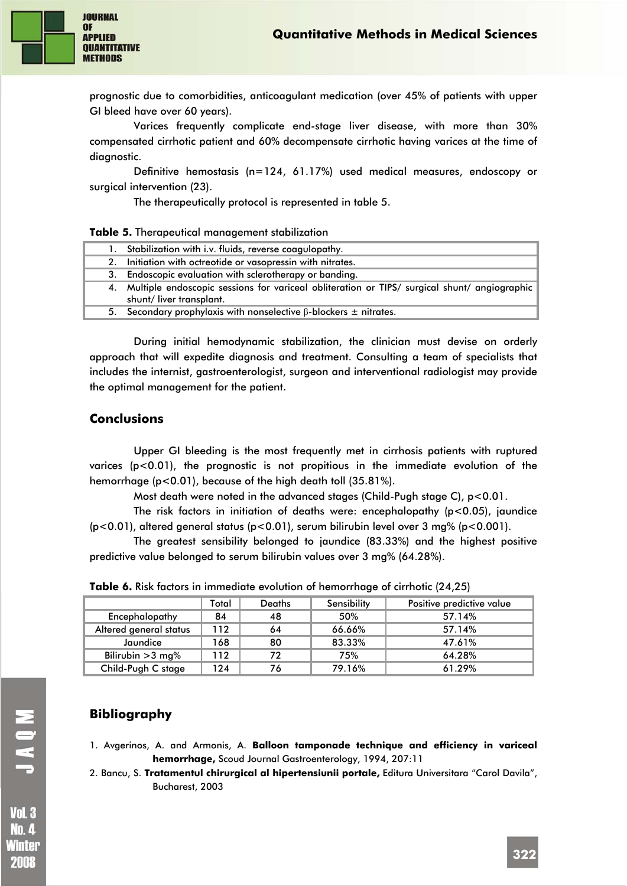

prognostic due to comorbidities, anticoagulant medication (over 45% of patients with upper GI bleed have over 60 years).

Varices frequently complicate end-stage liver disease, with more than 30% compensated cirrhotic patient and 60% decompensate cirrhotic having varices at the time of diagnostic.

Definitive hemostasis (n=124, 61.17%) used medical measures, endoscopy or surgical intervention (23).

The therapeutically protocol is represented in table 5.

|  |  | Table 5. Therapeutical management stabilization |  |
|--|--|-------------------------------------------------|--|
|  |  |                                                 |  |

| 1. Stabilization with i.v. fluids, reverse coagulopathy.                                                                   |
|----------------------------------------------------------------------------------------------------------------------------|
| 2. Initiation with octreotide or vasopressin with nitrates.                                                                |
| 3. Endoscopic evaluation with sclerotherapy or banding.                                                                    |
| 4. Multiple endoscopic sessions for variceal obliteration or TIPS/ surgical shunt/ angiographic<br>shunt/liver transplant. |
| 5. Secondary prophylaxis with nonselective $\beta$ -blockers $\pm$ nitrates.                                               |

During initial hemodynamic stabilization, the clinician must devise on orderly approach that will expedite diagnosis and treatment. Consulting a team of specialists that includes the internist, gastroenterologist, surgeon and interventional radiologist may provide the optimal management for the patient.

#### **Conclusions**

Upper GI bleeding is the most frequently met in cirrhosis patients with ruptured varices (p<0.01), the prognostic is not propitious in the immediate evolution of the hemorrhage (p<0.01), because of the high death toll (35.81%).

Most death were noted in the advanced stages (Child-Pugh stage C),  $p < 0.01$ .

The risk factors in initiation of deaths were: encephalopathy (p<0.05), jaundice (p<0.01), altered general status (p<0.01), serum bilirubin level over 3 mg% (p<0.001).

The greatest sensibility belonged to jaundice (83.33%) and the highest positive predictive value belonged to serum bilirubin values over 3 mg% (64.28%).

|                        | Total | <b>Deaths</b> | Sensibility | Positive predictive value |
|------------------------|-------|---------------|-------------|---------------------------|
| Encephalopathy         | 84    | 48            | 50%         | 57.14%                    |
| Altered general status | 112   | 64            | 66.66%      | 57.14%                    |
| Jaundice               | 168   | 80            | 83.33%      | 47.61%                    |
| Bilirubin $>3$ mg%     | 112   | 72            | 75%         | 64.28%                    |

Child-Pugh C stage 124 76 79.16% 61.29%

**Table 6.** Risk factors in immediate evolution of hemorrhage of cirrhotic (24,25)

## **Bibliography**

- 1. Avgerinos, A. and Armonis, A. **Balloon tamponade technique and efficiency in variceal hemorrhage,** Scoud Journal Gastroenterology, 1994, 207:11
- 2. Bancu, S. **Tratamentul chirurgical al hipertensiunii portale,** Editura Universitara "Carol Davila", Bucharest, 2003

MOVL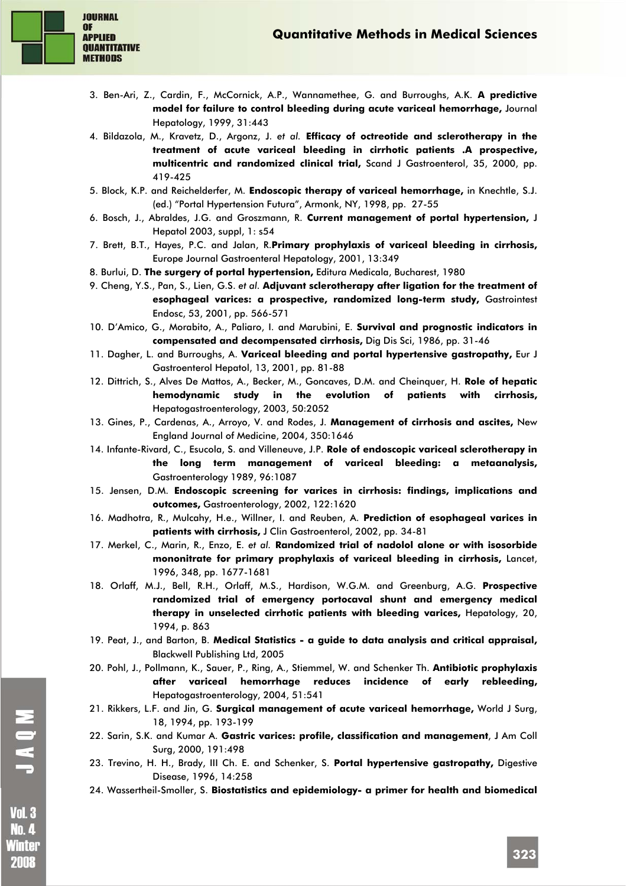

- 3. Ben-Ari, Z., Cardin, F., McCornick, A.P., Wannamethee, G. and Burroughs, A.K. **A predictive model for failure to control bleeding during acute variceal hemorrhage,** Journal Hepatology, 1999, 31:443
- 4. Bildazola, M., Kravetz, D., Argonz, J. *et al.* **Efficacy of octreotide and sclerotherapy in the treatment of acute variceal bleeding in cirrhotic patients .A prospective, multicentric and randomized clinical trial,** Scand J Gastroenterol, 35, 2000, pp. 419-425
- 5. Block, K.P. and Reichelderfer, M. **Endoscopic therapy of variceal hemorrhage,** in Knechtle, S.J. (ed.) "Portal Hypertension Futura", Armonk, NY, 1998, pp. 27-55
- 6. Bosch, J., Abraldes, J.G. and Groszmann, R. **Current management of portal hypertension,** J Hepatol 2003, suppl, 1: s54
- 7. Brett, B.T., Hayes, P.C. and Jalan, R.**Primary prophylaxis of variceal bleeding in cirrhosis,** Europe Journal Gastroenteral Hepatology, 2001, 13:349
- 8. Burlui, D. **The surgery of portal hypertension,** Editura Medicala, Bucharest, 1980
- 9. Cheng, Y.S., Pan, S., Lien, G.S. *et al.* **Adjuvant sclerotherapy after ligation for the treatment of esophageal varices: a prospective, randomized long-term study,** Gastrointest Endosc, 53, 2001, pp. 566-571
- 10. D'Amico, G., Morabito, A., Paliaro, I. and Marubini, E. **Survival and prognostic indicators in compensated and decompensated cirrhosis,** Dig Dis Sci, 1986, pp. 31-46
- 11. Dagher, L. and Burroughs, A. **Variceal bleeding and portal hypertensive gastropathy,** Eur J Gastroenterol Hepatol, 13, 2001, pp. 81-88
- 12. Dittrich, S., Alves De Mattos, A., Becker, M., Goncaves, D.M. and Cheinquer, H. **Role of hepatic hemodynamic study in the evolution of patients with cirrhosis,** Hepatogastroenterology, 2003, 50:2052
- 13. Gines, P., Cardenas, A., Arroyo, V. and Rodes, J. **Management of cirrhosis and ascites,** New England Journal of Medicine, 2004, 350:1646
- 14. Infante-Rivard, C., Esucola, S. and Villeneuve, J.P. **Role of endoscopic variceal sclerotherapy in the long term management of variceal bleeding: a metaanalysis,** Gastroenterology 1989, 96:1087
- 15. Jensen, D.M. **Endoscopic screening for varices in cirrhosis: findings, implications and outcomes,** Gastroenterology, 2002, 122:1620
- 16. Madhotra, R., Mulcahy, H.e., Willner, I. and Reuben, A. **Prediction of esophageal varices in patients with cirrhosis,** J Clin Gastroenterol, 2002, pp. 34-81
- 17. Merkel, C., Marin, R., Enzo, E. *et al.* **Randomized trial of nadolol alone or with isosorbide mononitrate for primary prophylaxis of variceal bleeding in cirrhosis,** Lancet, 1996, 348, pp. 1677-1681
- 18. Orlaff, M.J., Bell, R.H., Orlaff, M.S., Hardison, W.G.M. and Greenburg, A.G. **Prospective randomized trial of emergency portocaval shunt and emergency medical therapy in unselected cirrhotic patients with bleeding varices,** Hepatology, 20, 1994, p. 863
- 19. Peat, J., and Barton, B. **Medical Statistics a guide to data analysis and critical appraisal,** Blackwell Publishing Ltd, 2005
- 20. Pohl, J., Pollmann, K., Sauer, P., Ring, A., Stiemmel, W. and Schenker Th. **Antibiotic prophylaxis after variceal hemorrhage reduces incidence of early rebleeding,** Hepatogastroenterology, 2004, 51:541
- 21. Rikkers, L.F. and Jin, G. **Surgical management of acute variceal hemorrhage,** World J Surg, 18, 1994, pp. 193-199
- 22. Sarin, S.K. and Kumar A. **Gastric varices: profile, classification and management**, J Am Coll Surg, 2000, 191:498
- 23. Trevino, H. H., Brady, III Ch. E. and Schenker, S. **Portal hypertensive gastropathy,** Digestive Disease, 1996, 14:258
- 24. Wassertheil-Smoller, S. **Biostatistics and epidemiology- a primer for health and biomedical**

MOVI